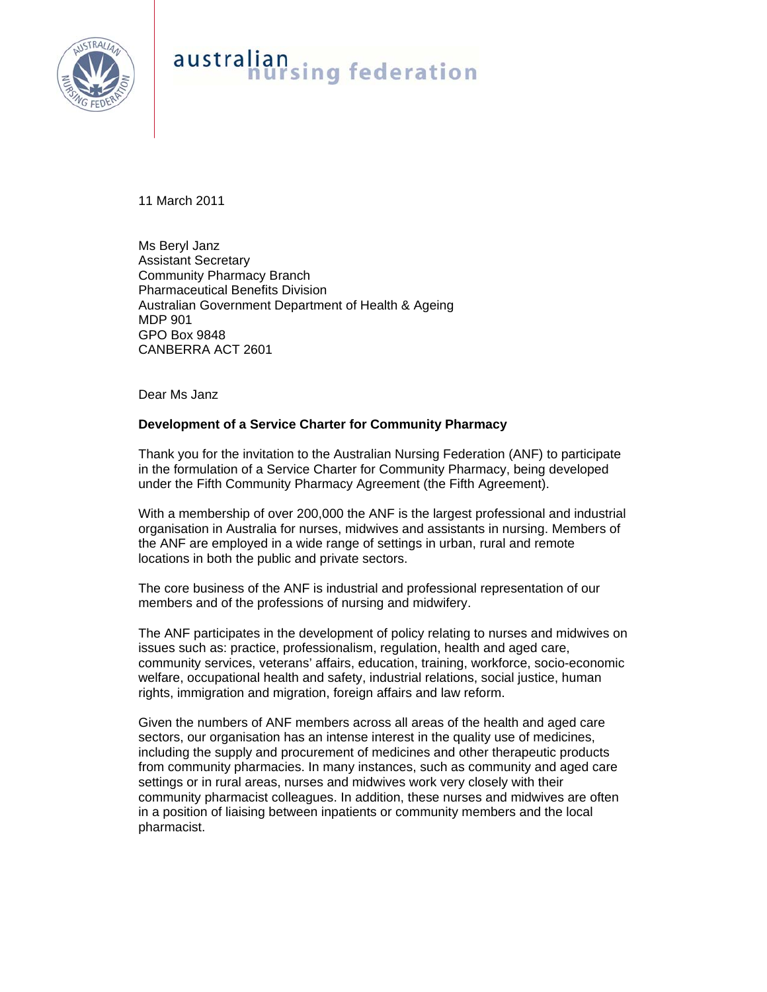

## australian<br>nursing federation

11 March 2011

Ms Beryl Janz Assistant Secretary Community Pharmacy Branch Pharmaceutical Benefits Division Australian Government Department of Health & Ageing MDP 901 GPO Box 9848 CANBERRA ACT 2601

Dear Ms Janz

## **Development of a Service Charter for Community Pharmacy**

Thank you for the invitation to the Australian Nursing Federation (ANF) to participate in the formulation of a Service Charter for Community Pharmacy, being developed under the Fifth Community Pharmacy Agreement (the Fifth Agreement).

With a membership of over 200,000 the ANF is the largest professional and industrial organisation in Australia for nurses, midwives and assistants in nursing. Members of the ANF are employed in a wide range of settings in urban, rural and remote locations in both the public and private sectors.

The core business of the ANF is industrial and professional representation of our members and of the professions of nursing and midwifery.

The ANF participates in the development of policy relating to nurses and midwives on issues such as: practice, professionalism, regulation, health and aged care, community services, veterans' affairs, education, training, workforce, socio-economic welfare, occupational health and safety, industrial relations, social justice, human rights, immigration and migration, foreign affairs and law reform.

Given the numbers of ANF members across all areas of the health and aged care sectors, our organisation has an intense interest in the quality use of medicines, including the supply and procurement of medicines and other therapeutic products from community pharmacies. In many instances, such as community and aged care settings or in rural areas, nurses and midwives work very closely with their community pharmacist colleagues. In addition, these nurses and midwives are often in a position of liaising between inpatients or community members and the local pharmacist.